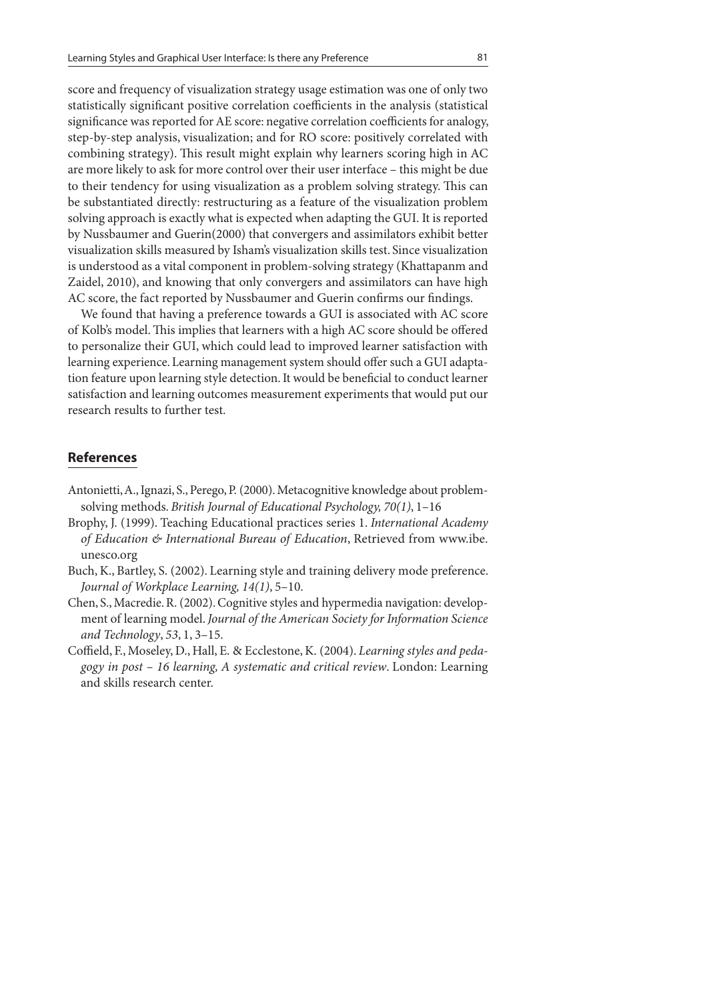score and frequency of visualization strategy usage estimation was one of only two statistically significant positive correlation coefficients in the analysis (statistical significance was reported for AE score: negative correlation coefficients for analogy, step-by-step analysis, visualization; and for RO score: positively correlated with combining strategy). This result might explain why learners scoring high in AC are more likely to ask for more control over their user interface – this might be due to their tendency for using visualization as a problem solving strategy. This can be substantiated directly: restructuring as a feature of the visualization problem solving approach is exactly what is expected when adapting the GUI. It is reported by Nussbaumer and Guerin(2000) that convergers and assimilators exhibit better visualization skills measured by Isham's visualization skills test. Since visualization is understood as a vital component in problem-solving strategy (Khattapanm and Zaidel, 2010), and knowing that only convergers and assimilators can have high AC score, the fact reported by Nussbaumer and Guerin confirms our findings.

We found that having a preference towards a GUI is associated with AC score of Kolb's model. This implies that learners with a high AC score should be offered to personalize their GUI, which could lead to improved learner satisfaction with learning experience. Learning management system should offer such a GUI adaptation feature upon learning style detection. It would be beneficial to conduct learner satisfaction and learning outcomes measurement experiments that would put our research results to further test.

## **References**

- Antonietti, A., Ignazi, S., Perego, P. (2000). Metacognitive knowledge about problemsolving methods. British Journal of Educational Psychology, 70(1), 1–16
- Brophy, J. (1999). Teaching Educational practices series 1. International Academy of Education  $\mathfrak{G}$  International Bureau of Education, Retrieved from www.ibe. unesco.org
- Buch, K., Bartley, S. (2002). Learning style and training delivery mode preference. Journal of Workplace Learning, 14(1), 5–10.
- Chen, S., Macredie. R. (2002). Cognitive styles and hypermedia navigation: development of learning model. Journal of the American Society for Information Science and Technology, 53, 1, 3–15.
- Coffield, F., Moseley, D., Hall, E. & Ecclestone, K. (2004). Learning styles and pedagogy in post – 16 learning, A systematic and critical review. London: Learning and skills research center.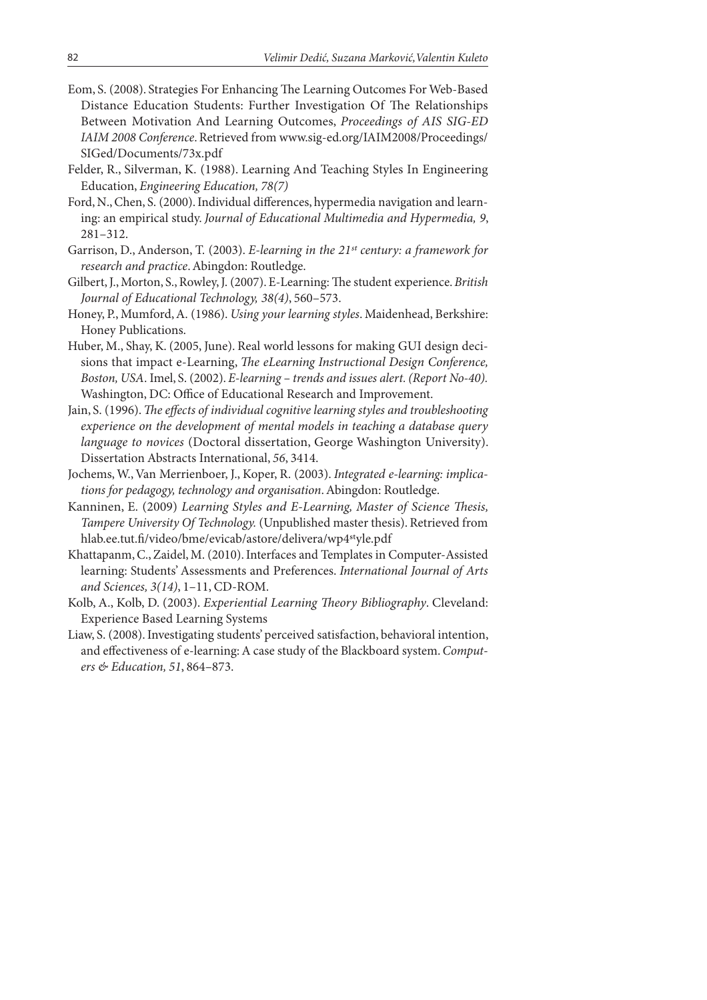- Eom, S. (2008). Strategies For Enhancing The Learning Outcomes For Web-Based Distance Education Students: Further Investigation Of The Relationships Between Motivation And Learning Outcomes, Proceedings of AIS SIG-ED IAIM 2008 Conference. Retrieved from www.sig-ed.org/IAIM2008/Proceedings/ SIGed/Documents/73x.pdf
- Felder, R., Silverman, K. (1988). Learning And Teaching Styles In Engineering Education, Engineering Education, 78(7)
- Ford, N., Chen, S. (2000). Individual differences, hypermedia navigation and learning: an empirical study. Journal of Educational Multimedia and Hypermedia, 9, 281–312.
- Garrison, D., Anderson, T. (2003). E-learning in the 21st century: a framework for research and practice. Abingdon: Routledge.
- Gilbert, J., Morton, S., Rowley, J. (2007). E-Learning: The student experience. British Journal of Educational Technology, 38(4), 560–573.
- Honey, P., Mumford, A. (1986). Using your learning styles. Maidenhead, Berkshire: Honey Publications.
- Huber, M., Shay, K. (2005, June). Real world lessons for making GUI design decisions that impact e-Learning, The eLearning Instructional Design Conference, Boston, USA. Imel, S. (2002). E-learning – trends and issues alert. (Report No-40). Washington, DC: Office of Educational Research and Improvement.
- Jain, S. (1996). The effects of individual cognitive learning styles and troubleshooting experience on the development of mental models in teaching a database query language to novices (Doctoral dissertation, George Washington University). Dissertation Abstracts International, 56, 3414.
- Jochems, W., Van Merrienboer, J., Koper, R. (2003). Integrated e-learning: implications for pedagogy, technology and organisation. Abingdon: Routledge.
- Kanninen, E. (2009) Learning Styles and E-Learning, Master of Science Thesis, Tampere University Of Technology. (Unpublished master thesis). Retrieved from hlab.ee.tut.fi/video/bme/evicab/astore/delivera/wp4<sup>st</sup>yle.pdf
- Khattapanm, C., Zaidel, M. (2010). Interfaces and Templates in Computer-Assisted learning: Students' Assessments and Preferences. International Journal of Arts and Sciences, 3(14), 1–11, CD-ROM.
- Kolb, A., Kolb, D. (2003). Experiential Learning Theory Bibliography. Cleveland: Experience Based Learning Systems
- Liaw, S. (2008). Investigating students' perceived satisfaction, behavioral intention, and effectiveness of e-learning: A case study of the Blackboard system. Computers & Education, 51, 864–873.